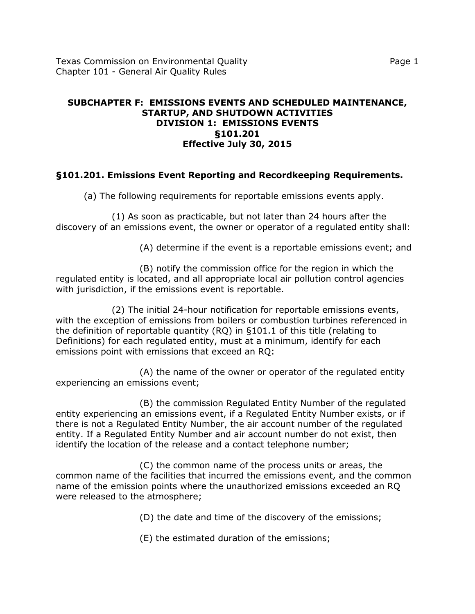### **SUBCHAPTER F: EMISSIONS EVENTS AND SCHEDULED MAINTENANCE, STARTUP, AND SHUTDOWN ACTIVITIES DIVISION 1: EMISSIONS EVENTS §101.201 Effective July 30, 2015**

# **§101.201. Emissions Event Reporting and Recordkeeping Requirements.**

(a) The following requirements for reportable emissions events apply.

(1) As soon as practicable, but not later than 24 hours after the discovery of an emissions event, the owner or operator of a regulated entity shall:

(A) determine if the event is a reportable emissions event; and

(B) notify the commission office for the region in which the regulated entity is located, and all appropriate local air pollution control agencies with jurisdiction, if the emissions event is reportable.

(2) The initial 24-hour notification for reportable emissions events, with the exception of emissions from boilers or combustion turbines referenced in the definition of reportable quantity (RQ) in §101.1 of this title (relating to Definitions) for each regulated entity, must at a minimum, identify for each emissions point with emissions that exceed an RQ:

(A) the name of the owner or operator of the regulated entity experiencing an emissions event;

(B) the commission Regulated Entity Number of the regulated entity experiencing an emissions event, if a Regulated Entity Number exists, or if there is not a Regulated Entity Number, the air account number of the regulated entity. If a Regulated Entity Number and air account number do not exist, then identify the location of the release and a contact telephone number;

(C) the common name of the process units or areas, the common name of the facilities that incurred the emissions event, and the common name of the emission points where the unauthorized emissions exceeded an RQ were released to the atmosphere;

(D) the date and time of the discovery of the emissions;

(E) the estimated duration of the emissions;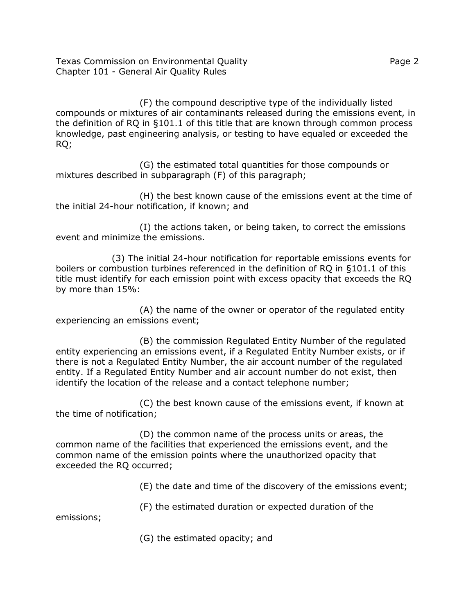Texas Commission on Environmental Quality **Page 2** Page 2 Chapter 101 - General Air Quality Rules

(F) the compound descriptive type of the individually listed compounds or mixtures of air contaminants released during the emissions event, in the definition of RQ in §101.1 of this title that are known through common process knowledge, past engineering analysis, or testing to have equaled or exceeded the RQ;

(G) the estimated total quantities for those compounds or mixtures described in subparagraph (F) of this paragraph;

(H) the best known cause of the emissions event at the time of the initial 24-hour notification, if known; and

(I) the actions taken, or being taken, to correct the emissions event and minimize the emissions.

(3) The initial 24-hour notification for reportable emissions events for boilers or combustion turbines referenced in the definition of RQ in §101.1 of this title must identify for each emission point with excess opacity that exceeds the RQ by more than 15%:

(A) the name of the owner or operator of the regulated entity experiencing an emissions event;

(B) the commission Regulated Entity Number of the regulated entity experiencing an emissions event, if a Regulated Entity Number exists, or if there is not a Regulated Entity Number, the air account number of the regulated entity. If a Regulated Entity Number and air account number do not exist, then identify the location of the release and a contact telephone number;

(C) the best known cause of the emissions event, if known at the time of notification;

(D) the common name of the process units or areas, the common name of the facilities that experienced the emissions event, and the common name of the emission points where the unauthorized opacity that exceeded the RQ occurred;

(E) the date and time of the discovery of the emissions event;

(F) the estimated duration or expected duration of the

emissions;

(G) the estimated opacity; and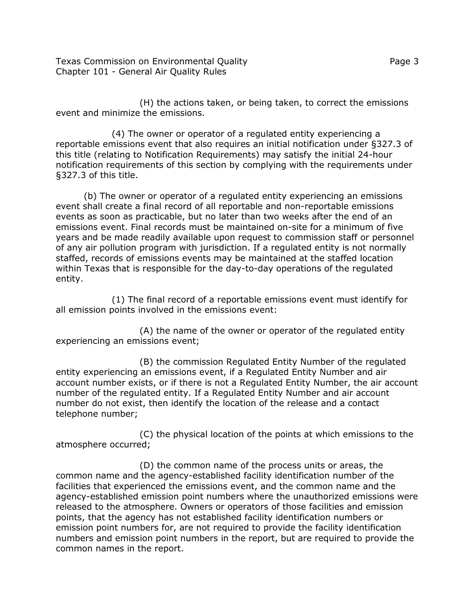Texas Commission on Environmental Quality **Page 1** and Page 3 Chapter 101 - General Air Quality Rules

(H) the actions taken, or being taken, to correct the emissions event and minimize the emissions.

(4) The owner or operator of a regulated entity experiencing a reportable emissions event that also requires an initial notification under §327.3 of this title (relating to Notification Requirements) may satisfy the initial 24-hour notification requirements of this section by complying with the requirements under §327.3 of this title.

(b) The owner or operator of a regulated entity experiencing an emissions event shall create a final record of all reportable and non-reportable emissions events as soon as practicable, but no later than two weeks after the end of an emissions event. Final records must be maintained on-site for a minimum of five years and be made readily available upon request to commission staff or personnel of any air pollution program with jurisdiction. If a regulated entity is not normally staffed, records of emissions events may be maintained at the staffed location within Texas that is responsible for the day-to-day operations of the regulated entity.

(1) The final record of a reportable emissions event must identify for all emission points involved in the emissions event:

(A) the name of the owner or operator of the regulated entity experiencing an emissions event;

(B) the commission Regulated Entity Number of the regulated entity experiencing an emissions event, if a Regulated Entity Number and air account number exists, or if there is not a Regulated Entity Number, the air account number of the regulated entity. If a Regulated Entity Number and air account number do not exist, then identify the location of the release and a contact telephone number;

(C) the physical location of the points at which emissions to the atmosphere occurred;

(D) the common name of the process units or areas, the common name and the agency-established facility identification number of the facilities that experienced the emissions event, and the common name and the agency-established emission point numbers where the unauthorized emissions were released to the atmosphere. Owners or operators of those facilities and emission points, that the agency has not established facility identification numbers or emission point numbers for, are not required to provide the facility identification numbers and emission point numbers in the report, but are required to provide the common names in the report.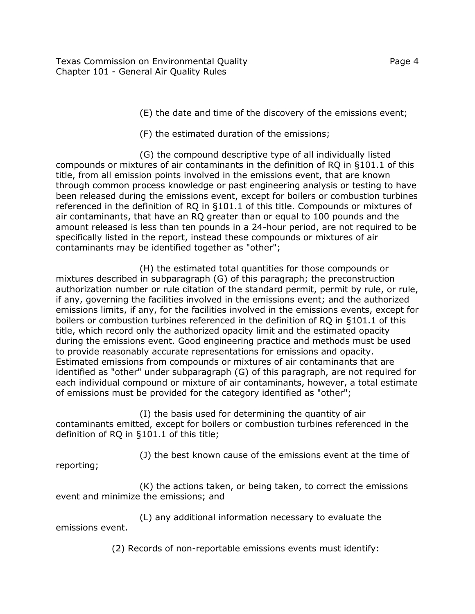Texas Commission on Environmental Quality **Page 4** and the state of the Page 4 Chapter 101 - General Air Quality Rules

(E) the date and time of the discovery of the emissions event;

(F) the estimated duration of the emissions;

(G) the compound descriptive type of all individually listed compounds or mixtures of air contaminants in the definition of RQ in §101.1 of this title, from all emission points involved in the emissions event, that are known through common process knowledge or past engineering analysis or testing to have been released during the emissions event, except for boilers or combustion turbines referenced in the definition of RQ in §101.1 of this title. Compounds or mixtures of air contaminants, that have an RQ greater than or equal to 100 pounds and the amount released is less than ten pounds in a 24-hour period, are not required to be specifically listed in the report, instead these compounds or mixtures of air contaminants may be identified together as "other";

(H) the estimated total quantities for those compounds or mixtures described in subparagraph (G) of this paragraph; the preconstruction authorization number or rule citation of the standard permit, permit by rule, or rule, if any, governing the facilities involved in the emissions event; and the authorized emissions limits, if any, for the facilities involved in the emissions events, except for boilers or combustion turbines referenced in the definition of RQ in §101.1 of this title, which record only the authorized opacity limit and the estimated opacity during the emissions event. Good engineering practice and methods must be used to provide reasonably accurate representations for emissions and opacity. Estimated emissions from compounds or mixtures of air contaminants that are identified as "other" under subparagraph (G) of this paragraph, are not required for each individual compound or mixture of air contaminants, however, a total estimate of emissions must be provided for the category identified as "other";

(I) the basis used for determining the quantity of air contaminants emitted, except for boilers or combustion turbines referenced in the definition of RQ in §101.1 of this title;

(J) the best known cause of the emissions event at the time of reporting;

(K) the actions taken, or being taken, to correct the emissions event and minimize the emissions; and

(L) any additional information necessary to evaluate the emissions event.

(2) Records of non-reportable emissions events must identify: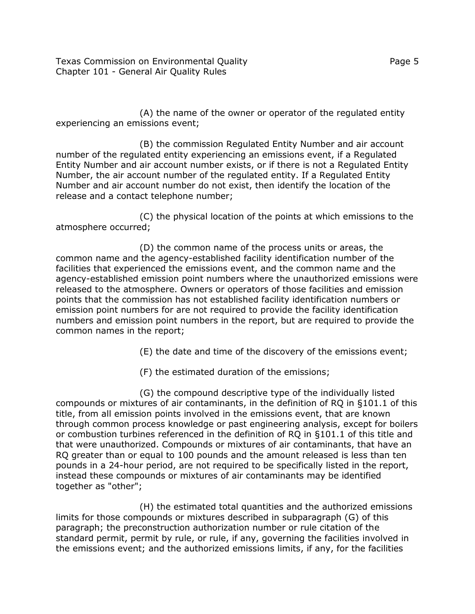Texas Commission on Environmental Quality **Page 1** and Page 5 Chapter 101 - General Air Quality Rules

(A) the name of the owner or operator of the regulated entity experiencing an emissions event;

(B) the commission Regulated Entity Number and air account number of the regulated entity experiencing an emissions event, if a Regulated Entity Number and air account number exists, or if there is not a Regulated Entity Number, the air account number of the regulated entity. If a Regulated Entity Number and air account number do not exist, then identify the location of the release and a contact telephone number;

(C) the physical location of the points at which emissions to the atmosphere occurred;

(D) the common name of the process units or areas, the common name and the agency-established facility identification number of the facilities that experienced the emissions event, and the common name and the agency-established emission point numbers where the unauthorized emissions were released to the atmosphere. Owners or operators of those facilities and emission points that the commission has not established facility identification numbers or emission point numbers for are not required to provide the facility identification numbers and emission point numbers in the report, but are required to provide the common names in the report;

(E) the date and time of the discovery of the emissions event;

(F) the estimated duration of the emissions;

(G) the compound descriptive type of the individually listed compounds or mixtures of air contaminants, in the definition of RQ in §101.1 of this title, from all emission points involved in the emissions event, that are known through common process knowledge or past engineering analysis, except for boilers or combustion turbines referenced in the definition of RQ in §101.1 of this title and that were unauthorized. Compounds or mixtures of air contaminants, that have an RQ greater than or equal to 100 pounds and the amount released is less than ten pounds in a 24-hour period, are not required to be specifically listed in the report, instead these compounds or mixtures of air contaminants may be identified together as "other";

(H) the estimated total quantities and the authorized emissions limits for those compounds or mixtures described in subparagraph (G) of this paragraph; the preconstruction authorization number or rule citation of the standard permit, permit by rule, or rule, if any, governing the facilities involved in the emissions event; and the authorized emissions limits, if any, for the facilities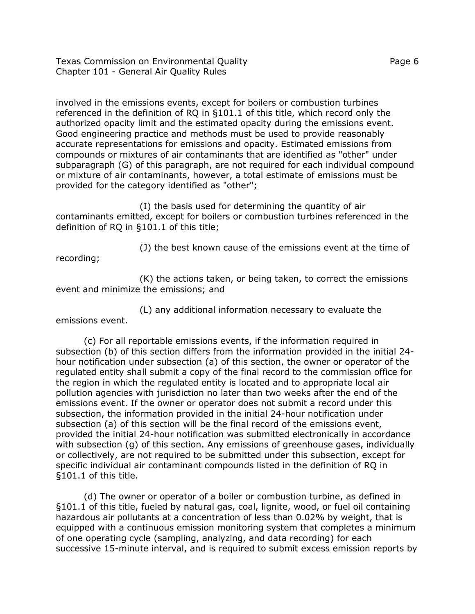Texas Commission on Environmental Quality Page 6 Chapter 101 - General Air Quality Rules

involved in the emissions events, except for boilers or combustion turbines referenced in the definition of RQ in §101.1 of this title, which record only the authorized opacity limit and the estimated opacity during the emissions event. Good engineering practice and methods must be used to provide reasonably accurate representations for emissions and opacity. Estimated emissions from compounds or mixtures of air contaminants that are identified as "other" under subparagraph (G) of this paragraph, are not required for each individual compound or mixture of air contaminants, however, a total estimate of emissions must be provided for the category identified as "other";

(I) the basis used for determining the quantity of air contaminants emitted, except for boilers or combustion turbines referenced in the definition of RQ in §101.1 of this title;

(J) the best known cause of the emissions event at the time of

recording;

(K) the actions taken, or being taken, to correct the emissions event and minimize the emissions; and

(L) any additional information necessary to evaluate the emissions event.

(c) For all reportable emissions events, if the information required in subsection (b) of this section differs from the information provided in the initial 24 hour notification under subsection (a) of this section, the owner or operator of the regulated entity shall submit a copy of the final record to the commission office for the region in which the regulated entity is located and to appropriate local air pollution agencies with jurisdiction no later than two weeks after the end of the emissions event. If the owner or operator does not submit a record under this subsection, the information provided in the initial 24-hour notification under subsection (a) of this section will be the final record of the emissions event, provided the initial 24-hour notification was submitted electronically in accordance with subsection (g) of this section. Any emissions of greenhouse gases, individually or collectively, are not required to be submitted under this subsection, except for specific individual air contaminant compounds listed in the definition of RQ in §101.1 of this title.

(d) The owner or operator of a boiler or combustion turbine, as defined in §101.1 of this title, fueled by natural gas, coal, lignite, wood, or fuel oil containing hazardous air pollutants at a concentration of less than 0.02% by weight, that is equipped with a continuous emission monitoring system that completes a minimum of one operating cycle (sampling, analyzing, and data recording) for each successive 15-minute interval, and is required to submit excess emission reports by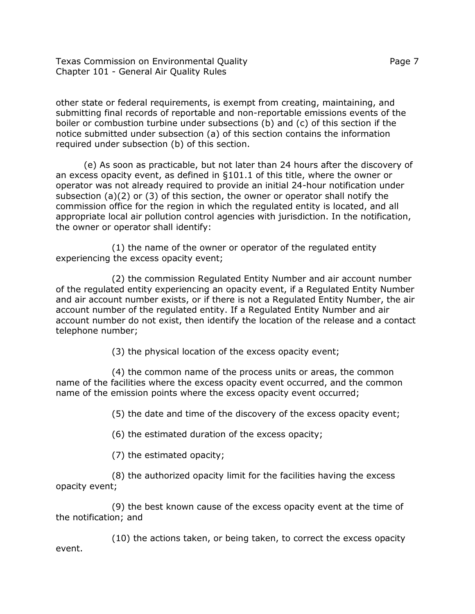Texas Commission on Environmental Quality **Page 7** All 2008 2 Chapter 101 - General Air Quality Rules

other state or federal requirements, is exempt from creating, maintaining, and submitting final records of reportable and non-reportable emissions events of the boiler or combustion turbine under subsections (b) and (c) of this section if the notice submitted under subsection (a) of this section contains the information required under subsection (b) of this section.

(e) As soon as practicable, but not later than 24 hours after the discovery of an excess opacity event, as defined in §101.1 of this title, where the owner or operator was not already required to provide an initial 24-hour notification under subsection (a)(2) or (3) of this section, the owner or operator shall notify the commission office for the region in which the regulated entity is located, and all appropriate local air pollution control agencies with jurisdiction. In the notification, the owner or operator shall identify:

(1) the name of the owner or operator of the regulated entity experiencing the excess opacity event;

(2) the commission Regulated Entity Number and air account number of the regulated entity experiencing an opacity event, if a Regulated Entity Number and air account number exists, or if there is not a Regulated Entity Number, the air account number of the regulated entity. If a Regulated Entity Number and air account number do not exist, then identify the location of the release and a contact telephone number;

(3) the physical location of the excess opacity event;

(4) the common name of the process units or areas, the common name of the facilities where the excess opacity event occurred, and the common name of the emission points where the excess opacity event occurred;

(5) the date and time of the discovery of the excess opacity event;

(6) the estimated duration of the excess opacity;

(7) the estimated opacity;

(8) the authorized opacity limit for the facilities having the excess opacity event;

(9) the best known cause of the excess opacity event at the time of the notification; and

(10) the actions taken, or being taken, to correct the excess opacity event.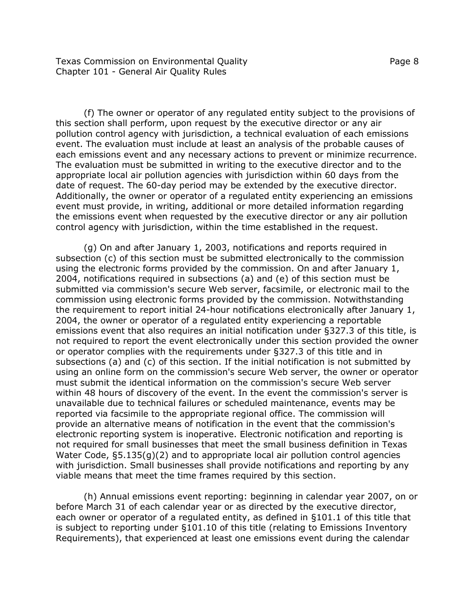Texas Commission on Environmental Quality **Page 8** and Page 8 Chapter 101 - General Air Quality Rules

(f) The owner or operator of any regulated entity subject to the provisions of this section shall perform, upon request by the executive director or any air pollution control agency with jurisdiction, a technical evaluation of each emissions event. The evaluation must include at least an analysis of the probable causes of each emissions event and any necessary actions to prevent or minimize recurrence. The evaluation must be submitted in writing to the executive director and to the appropriate local air pollution agencies with jurisdiction within 60 days from the date of request. The 60-day period may be extended by the executive director. Additionally, the owner or operator of a regulated entity experiencing an emissions event must provide, in writing, additional or more detailed information regarding the emissions event when requested by the executive director or any air pollution control agency with jurisdiction, within the time established in the request.

(g) On and after January 1, 2003, notifications and reports required in subsection (c) of this section must be submitted electronically to the commission using the electronic forms provided by the commission. On and after January 1, 2004, notifications required in subsections (a) and (e) of this section must be submitted via commission's secure Web server, facsimile, or electronic mail to the commission using electronic forms provided by the commission. Notwithstanding the requirement to report initial 24-hour notifications electronically after January 1, 2004, the owner or operator of a regulated entity experiencing a reportable emissions event that also requires an initial notification under §327.3 of this title, is not required to report the event electronically under this section provided the owner or operator complies with the requirements under §327.3 of this title and in subsections (a) and (c) of this section. If the initial notification is not submitted by using an online form on the commission's secure Web server, the owner or operator must submit the identical information on the commission's secure Web server within 48 hours of discovery of the event. In the event the commission's server is unavailable due to technical failures or scheduled maintenance, events may be reported via facsimile to the appropriate regional office. The commission will provide an alternative means of notification in the event that the commission's electronic reporting system is inoperative. Electronic notification and reporting is not required for small businesses that meet the small business definition in Texas Water Code, §5.135(g)(2) and to appropriate local air pollution control agencies with jurisdiction. Small businesses shall provide notifications and reporting by any viable means that meet the time frames required by this section.

(h) Annual emissions event reporting: beginning in calendar year 2007, on or before March 31 of each calendar year or as directed by the executive director, each owner or operator of a regulated entity, as defined in §101.1 of this title that is subject to reporting under §101.10 of this title (relating to Emissions Inventory Requirements), that experienced at least one emissions event during the calendar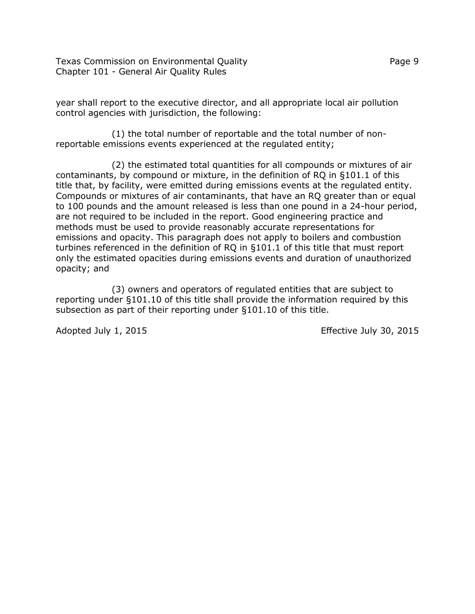Texas Commission on Environmental Quality **Page 9** and Page 9 Chapter 101 - General Air Quality Rules

year shall report to the executive director, and all appropriate local air pollution control agencies with jurisdiction, the following:

(1) the total number of reportable and the total number of nonreportable emissions events experienced at the regulated entity;

(2) the estimated total quantities for all compounds or mixtures of air contaminants, by compound or mixture, in the definition of RQ in §101.1 of this title that, by facility, were emitted during emissions events at the regulated entity. Compounds or mixtures of air contaminants, that have an RQ greater than or equal to 100 pounds and the amount released is less than one pound in a 24-hour period, are not required to be included in the report. Good engineering practice and methods must be used to provide reasonably accurate representations for emissions and opacity. This paragraph does not apply to boilers and combustion turbines referenced in the definition of RQ in §101.1 of this title that must report only the estimated opacities during emissions events and duration of unauthorized opacity; and

(3) owners and operators of regulated entities that are subject to reporting under §101.10 of this title shall provide the information required by this subsection as part of their reporting under §101.10 of this title.

Adopted July 1, 2015 **Effective 30, 2015**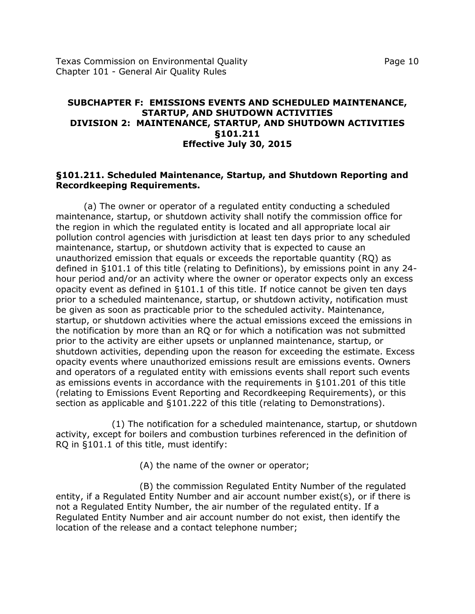Texas Commission on Environmental Quality Page 10 Chapter 101 - General Air Quality Rules

### **SUBCHAPTER F: EMISSIONS EVENTS AND SCHEDULED MAINTENANCE, STARTUP, AND SHUTDOWN ACTIVITIES DIVISION 2: MAINTENANCE, STARTUP, AND SHUTDOWN ACTIVITIES §101.211 Effective July 30, 2015**

#### **§101.211. Scheduled Maintenance, Startup, and Shutdown Reporting and Recordkeeping Requirements.**

(a) The owner or operator of a regulated entity conducting a scheduled maintenance, startup, or shutdown activity shall notify the commission office for the region in which the regulated entity is located and all appropriate local air pollution control agencies with jurisdiction at least ten days prior to any scheduled maintenance, startup, or shutdown activity that is expected to cause an unauthorized emission that equals or exceeds the reportable quantity (RQ) as defined in §101.1 of this title (relating to Definitions), by emissions point in any 24 hour period and/or an activity where the owner or operator expects only an excess opacity event as defined in §101.1 of this title. If notice cannot be given ten days prior to a scheduled maintenance, startup, or shutdown activity, notification must be given as soon as practicable prior to the scheduled activity. Maintenance, startup, or shutdown activities where the actual emissions exceed the emissions in the notification by more than an RQ or for which a notification was not submitted prior to the activity are either upsets or unplanned maintenance, startup, or shutdown activities, depending upon the reason for exceeding the estimate. Excess opacity events where unauthorized emissions result are emissions events. Owners and operators of a regulated entity with emissions events shall report such events as emissions events in accordance with the requirements in §101.201 of this title (relating to Emissions Event Reporting and Recordkeeping Requirements), or this section as applicable and §101.222 of this title (relating to Demonstrations).

(1) The notification for a scheduled maintenance, startup, or shutdown activity, except for boilers and combustion turbines referenced in the definition of RQ in §101.1 of this title, must identify:

(A) the name of the owner or operator;

(B) the commission Regulated Entity Number of the regulated entity, if a Regulated Entity Number and air account number exist(s), or if there is not a Regulated Entity Number, the air number of the regulated entity. If a Regulated Entity Number and air account number do not exist, then identify the location of the release and a contact telephone number;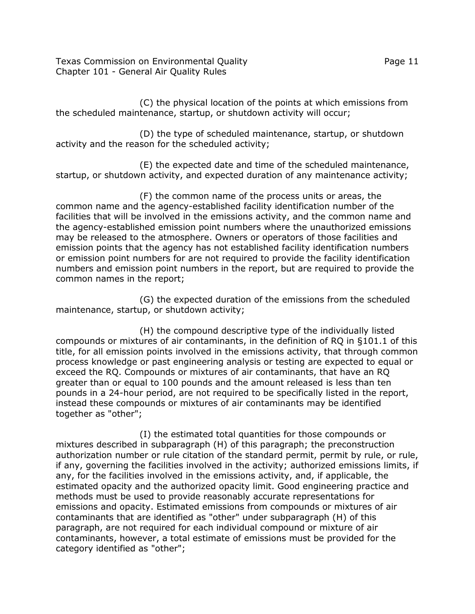Texas Commission on Environmental Quality Page 11 Chapter 101 - General Air Quality Rules

(C) the physical location of the points at which emissions from the scheduled maintenance, startup, or shutdown activity will occur;

(D) the type of scheduled maintenance, startup, or shutdown activity and the reason for the scheduled activity;

(E) the expected date and time of the scheduled maintenance, startup, or shutdown activity, and expected duration of any maintenance activity;

(F) the common name of the process units or areas, the common name and the agency-established facility identification number of the facilities that will be involved in the emissions activity, and the common name and the agency-established emission point numbers where the unauthorized emissions may be released to the atmosphere. Owners or operators of those facilities and emission points that the agency has not established facility identification numbers or emission point numbers for are not required to provide the facility identification numbers and emission point numbers in the report, but are required to provide the common names in the report;

(G) the expected duration of the emissions from the scheduled maintenance, startup, or shutdown activity;

(H) the compound descriptive type of the individually listed compounds or mixtures of air contaminants, in the definition of RQ in §101.1 of this title, for all emission points involved in the emissions activity, that through common process knowledge or past engineering analysis or testing are expected to equal or exceed the RQ. Compounds or mixtures of air contaminants, that have an RQ greater than or equal to 100 pounds and the amount released is less than ten pounds in a 24-hour period, are not required to be specifically listed in the report, instead these compounds or mixtures of air contaminants may be identified together as "other";

(I) the estimated total quantities for those compounds or mixtures described in subparagraph (H) of this paragraph; the preconstruction authorization number or rule citation of the standard permit, permit by rule, or rule, if any, governing the facilities involved in the activity; authorized emissions limits, if any, for the facilities involved in the emissions activity, and, if applicable, the estimated opacity and the authorized opacity limit. Good engineering practice and methods must be used to provide reasonably accurate representations for emissions and opacity. Estimated emissions from compounds or mixtures of air contaminants that are identified as "other" under subparagraph (H) of this paragraph, are not required for each individual compound or mixture of air contaminants, however, a total estimate of emissions must be provided for the category identified as "other";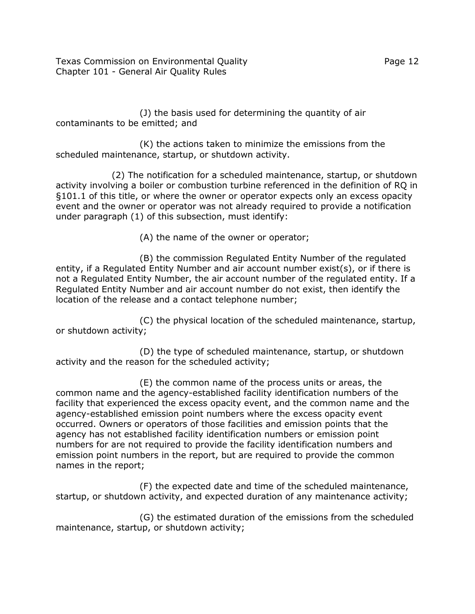Texas Commission on Environmental Quality Page 12 Chapter 101 - General Air Quality Rules

(J) the basis used for determining the quantity of air contaminants to be emitted; and

(K) the actions taken to minimize the emissions from the scheduled maintenance, startup, or shutdown activity.

(2) The notification for a scheduled maintenance, startup, or shutdown activity involving a boiler or combustion turbine referenced in the definition of RQ in §101.1 of this title, or where the owner or operator expects only an excess opacity event and the owner or operator was not already required to provide a notification under paragraph (1) of this subsection, must identify:

(A) the name of the owner or operator;

(B) the commission Regulated Entity Number of the regulated entity, if a Regulated Entity Number and air account number exist(s), or if there is not a Regulated Entity Number, the air account number of the regulated entity. If a Regulated Entity Number and air account number do not exist, then identify the location of the release and a contact telephone number;

(C) the physical location of the scheduled maintenance, startup, or shutdown activity;

(D) the type of scheduled maintenance, startup, or shutdown activity and the reason for the scheduled activity;

(E) the common name of the process units or areas, the common name and the agency-established facility identification numbers of the facility that experienced the excess opacity event, and the common name and the agency-established emission point numbers where the excess opacity event occurred. Owners or operators of those facilities and emission points that the agency has not established facility identification numbers or emission point numbers for are not required to provide the facility identification numbers and emission point numbers in the report, but are required to provide the common names in the report;

(F) the expected date and time of the scheduled maintenance, startup, or shutdown activity, and expected duration of any maintenance activity;

(G) the estimated duration of the emissions from the scheduled maintenance, startup, or shutdown activity;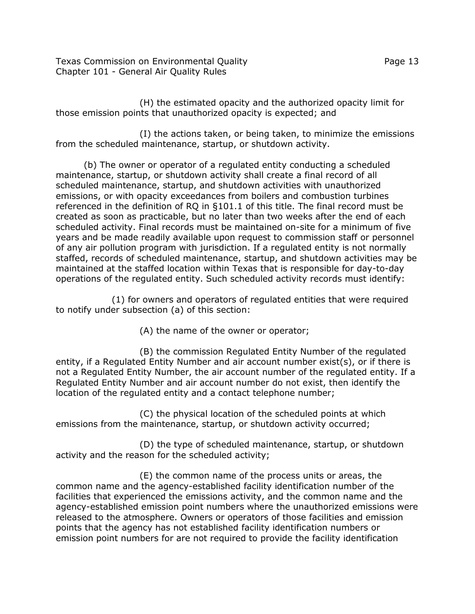Texas Commission on Environmental Quality Page 13 Chapter 101 - General Air Quality Rules

(H) the estimated opacity and the authorized opacity limit for those emission points that unauthorized opacity is expected; and

(I) the actions taken, or being taken, to minimize the emissions from the scheduled maintenance, startup, or shutdown activity.

(b) The owner or operator of a regulated entity conducting a scheduled maintenance, startup, or shutdown activity shall create a final record of all scheduled maintenance, startup, and shutdown activities with unauthorized emissions, or with opacity exceedances from boilers and combustion turbines referenced in the definition of RQ in §101.1 of this title. The final record must be created as soon as practicable, but no later than two weeks after the end of each scheduled activity. Final records must be maintained on-site for a minimum of five years and be made readily available upon request to commission staff or personnel of any air pollution program with jurisdiction. If a regulated entity is not normally staffed, records of scheduled maintenance, startup, and shutdown activities may be maintained at the staffed location within Texas that is responsible for day-to-day operations of the regulated entity. Such scheduled activity records must identify:

(1) for owners and operators of regulated entities that were required to notify under subsection (a) of this section:

(A) the name of the owner or operator;

(B) the commission Regulated Entity Number of the regulated entity, if a Regulated Entity Number and air account number exist(s), or if there is not a Regulated Entity Number, the air account number of the regulated entity. If a Regulated Entity Number and air account number do not exist, then identify the location of the regulated entity and a contact telephone number;

(C) the physical location of the scheduled points at which emissions from the maintenance, startup, or shutdown activity occurred;

(D) the type of scheduled maintenance, startup, or shutdown activity and the reason for the scheduled activity;

(E) the common name of the process units or areas, the common name and the agency-established facility identification number of the facilities that experienced the emissions activity, and the common name and the agency-established emission point numbers where the unauthorized emissions were released to the atmosphere. Owners or operators of those facilities and emission points that the agency has not established facility identification numbers or emission point numbers for are not required to provide the facility identification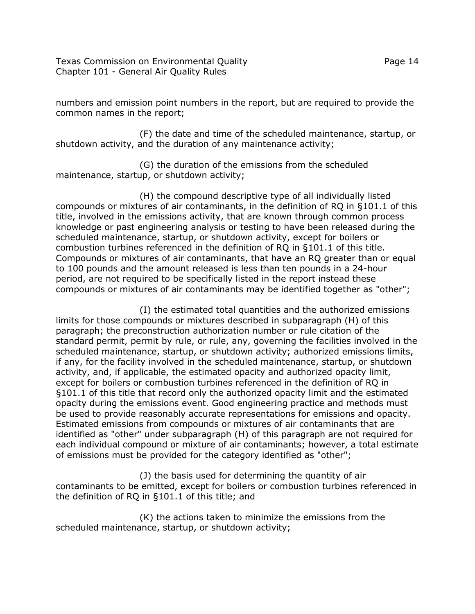Texas Commission on Environmental Quality Page 14 Chapter 101 - General Air Quality Rules

numbers and emission point numbers in the report, but are required to provide the common names in the report;

(F) the date and time of the scheduled maintenance, startup, or shutdown activity, and the duration of any maintenance activity;

(G) the duration of the emissions from the scheduled maintenance, startup, or shutdown activity;

(H) the compound descriptive type of all individually listed compounds or mixtures of air contaminants, in the definition of RQ in §101.1 of this title, involved in the emissions activity, that are known through common process knowledge or past engineering analysis or testing to have been released during the scheduled maintenance, startup, or shutdown activity, except for boilers or combustion turbines referenced in the definition of RQ in §101.1 of this title. Compounds or mixtures of air contaminants, that have an RQ greater than or equal to 100 pounds and the amount released is less than ten pounds in a 24-hour period, are not required to be specifically listed in the report instead these compounds or mixtures of air contaminants may be identified together as "other";

(I) the estimated total quantities and the authorized emissions limits for those compounds or mixtures described in subparagraph (H) of this paragraph; the preconstruction authorization number or rule citation of the standard permit, permit by rule, or rule, any, governing the facilities involved in the scheduled maintenance, startup, or shutdown activity; authorized emissions limits, if any, for the facility involved in the scheduled maintenance, startup, or shutdown activity, and, if applicable, the estimated opacity and authorized opacity limit, except for boilers or combustion turbines referenced in the definition of RQ in §101.1 of this title that record only the authorized opacity limit and the estimated opacity during the emissions event. Good engineering practice and methods must be used to provide reasonably accurate representations for emissions and opacity. Estimated emissions from compounds or mixtures of air contaminants that are identified as "other" under subparagraph (H) of this paragraph are not required for each individual compound or mixture of air contaminants; however, a total estimate of emissions must be provided for the category identified as "other";

(J) the basis used for determining the quantity of air contaminants to be emitted, except for boilers or combustion turbines referenced in the definition of RQ in §101.1 of this title; and

(K) the actions taken to minimize the emissions from the scheduled maintenance, startup, or shutdown activity;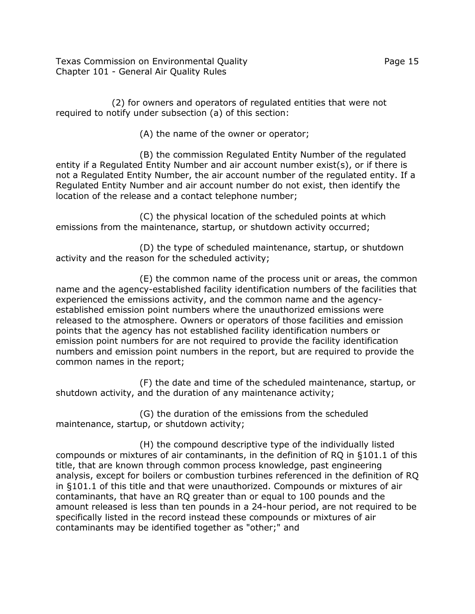Texas Commission on Environmental Quality Page 15 Chapter 101 - General Air Quality Rules

(2) for owners and operators of regulated entities that were not required to notify under subsection (a) of this section:

(A) the name of the owner or operator;

(B) the commission Regulated Entity Number of the regulated entity if a Regulated Entity Number and air account number exist(s), or if there is not a Regulated Entity Number, the air account number of the regulated entity. If a Regulated Entity Number and air account number do not exist, then identify the location of the release and a contact telephone number;

(C) the physical location of the scheduled points at which emissions from the maintenance, startup, or shutdown activity occurred;

(D) the type of scheduled maintenance, startup, or shutdown activity and the reason for the scheduled activity;

(E) the common name of the process unit or areas, the common name and the agency-established facility identification numbers of the facilities that experienced the emissions activity, and the common name and the agencyestablished emission point numbers where the unauthorized emissions were released to the atmosphere. Owners or operators of those facilities and emission points that the agency has not established facility identification numbers or emission point numbers for are not required to provide the facility identification numbers and emission point numbers in the report, but are required to provide the common names in the report;

(F) the date and time of the scheduled maintenance, startup, or shutdown activity, and the duration of any maintenance activity;

(G) the duration of the emissions from the scheduled maintenance, startup, or shutdown activity;

(H) the compound descriptive type of the individually listed compounds or mixtures of air contaminants, in the definition of RQ in §101.1 of this title, that are known through common process knowledge, past engineering analysis, except for boilers or combustion turbines referenced in the definition of RQ in §101.1 of this title and that were unauthorized. Compounds or mixtures of air contaminants, that have an RQ greater than or equal to 100 pounds and the amount released is less than ten pounds in a 24-hour period, are not required to be specifically listed in the record instead these compounds or mixtures of air contaminants may be identified together as "other;" and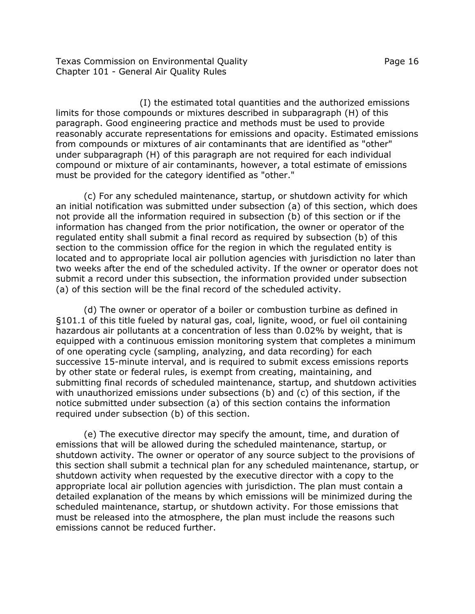Texas Commission on Environmental Quality Page 16 Chapter 101 - General Air Quality Rules

(I) the estimated total quantities and the authorized emissions limits for those compounds or mixtures described in subparagraph (H) of this paragraph. Good engineering practice and methods must be used to provide reasonably accurate representations for emissions and opacity. Estimated emissions from compounds or mixtures of air contaminants that are identified as "other" under subparagraph (H) of this paragraph are not required for each individual compound or mixture of air contaminants, however, a total estimate of emissions must be provided for the category identified as "other."

(c) For any scheduled maintenance, startup, or shutdown activity for which an initial notification was submitted under subsection (a) of this section, which does not provide all the information required in subsection (b) of this section or if the information has changed from the prior notification, the owner or operator of the regulated entity shall submit a final record as required by subsection (b) of this section to the commission office for the region in which the regulated entity is located and to appropriate local air pollution agencies with jurisdiction no later than two weeks after the end of the scheduled activity. If the owner or operator does not submit a record under this subsection, the information provided under subsection (a) of this section will be the final record of the scheduled activity.

(d) The owner or operator of a boiler or combustion turbine as defined in §101.1 of this title fueled by natural gas, coal, lignite, wood, or fuel oil containing hazardous air pollutants at a concentration of less than 0.02% by weight, that is equipped with a continuous emission monitoring system that completes a minimum of one operating cycle (sampling, analyzing, and data recording) for each successive 15-minute interval, and is required to submit excess emissions reports by other state or federal rules, is exempt from creating, maintaining, and submitting final records of scheduled maintenance, startup, and shutdown activities with unauthorized emissions under subsections (b) and (c) of this section, if the notice submitted under subsection (a) of this section contains the information required under subsection (b) of this section.

(e) The executive director may specify the amount, time, and duration of emissions that will be allowed during the scheduled maintenance, startup, or shutdown activity. The owner or operator of any source subject to the provisions of this section shall submit a technical plan for any scheduled maintenance, startup, or shutdown activity when requested by the executive director with a copy to the appropriate local air pollution agencies with jurisdiction. The plan must contain a detailed explanation of the means by which emissions will be minimized during the scheduled maintenance, startup, or shutdown activity. For those emissions that must be released into the atmosphere, the plan must include the reasons such emissions cannot be reduced further.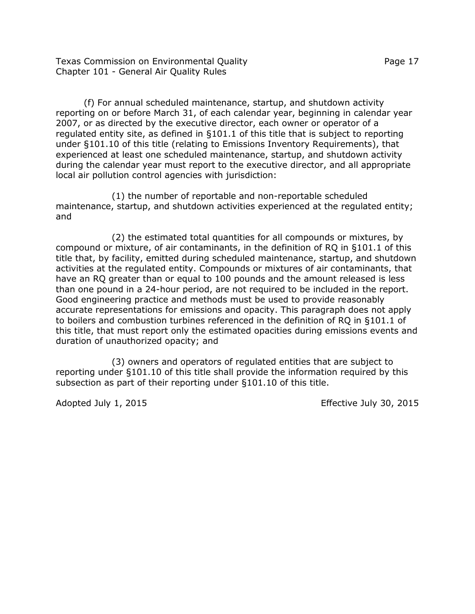Texas Commission on Environmental Quality Page 17 Chapter 101 - General Air Quality Rules

(f) For annual scheduled maintenance, startup, and shutdown activity reporting on or before March 31, of each calendar year, beginning in calendar year 2007, or as directed by the executive director, each owner or operator of a regulated entity site, as defined in §101.1 of this title that is subject to reporting under §101.10 of this title (relating to Emissions Inventory Requirements), that experienced at least one scheduled maintenance, startup, and shutdown activity during the calendar year must report to the executive director, and all appropriate local air pollution control agencies with jurisdiction:

(1) the number of reportable and non-reportable scheduled maintenance, startup, and shutdown activities experienced at the regulated entity; and

(2) the estimated total quantities for all compounds or mixtures, by compound or mixture, of air contaminants, in the definition of RQ in §101.1 of this title that, by facility, emitted during scheduled maintenance, startup, and shutdown activities at the regulated entity. Compounds or mixtures of air contaminants, that have an RQ greater than or equal to 100 pounds and the amount released is less than one pound in a 24-hour period, are not required to be included in the report. Good engineering practice and methods must be used to provide reasonably accurate representations for emissions and opacity. This paragraph does not apply to boilers and combustion turbines referenced in the definition of RQ in §101.1 of this title, that must report only the estimated opacities during emissions events and duration of unauthorized opacity; and

(3) owners and operators of regulated entities that are subject to reporting under §101.10 of this title shall provide the information required by this subsection as part of their reporting under §101.10 of this title.

Adopted July 1, 2015 **Effective 30, 2015**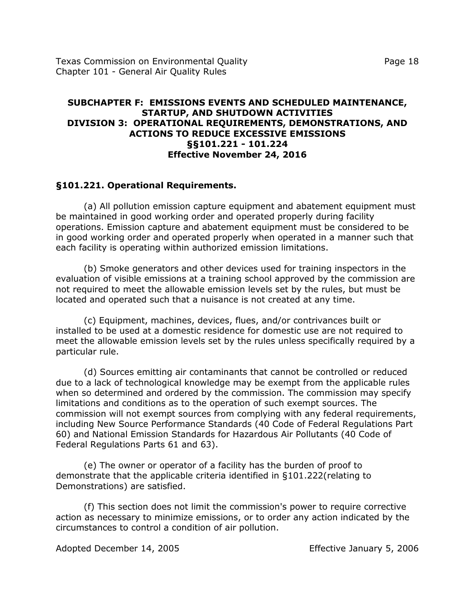## **SUBCHAPTER F: EMISSIONS EVENTS AND SCHEDULED MAINTENANCE, STARTUP, AND SHUTDOWN ACTIVITIES DIVISION 3: OPERATIONAL REQUIREMENTS, DEMONSTRATIONS, AND ACTIONS TO REDUCE EXCESSIVE EMISSIONS §§101.221 - 101.224 Effective November 24, 2016**

## **§101.221. Operational Requirements.**

(a) All pollution emission capture equipment and abatement equipment must be maintained in good working order and operated properly during facility operations. Emission capture and abatement equipment must be considered to be in good working order and operated properly when operated in a manner such that each facility is operating within authorized emission limitations.

(b) Smoke generators and other devices used for training inspectors in the evaluation of visible emissions at a training school approved by the commission are not required to meet the allowable emission levels set by the rules, but must be located and operated such that a nuisance is not created at any time.

(c) Equipment, machines, devices, flues, and/or contrivances built or installed to be used at a domestic residence for domestic use are not required to meet the allowable emission levels set by the rules unless specifically required by a particular rule.

(d) Sources emitting air contaminants that cannot be controlled or reduced due to a lack of technological knowledge may be exempt from the applicable rules when so determined and ordered by the commission. The commission may specify limitations and conditions as to the operation of such exempt sources. The commission will not exempt sources from complying with any federal requirements, including New Source Performance Standards (40 Code of Federal Regulations Part 60) and National Emission Standards for Hazardous Air Pollutants (40 Code of Federal Regulations Parts 61 and 63).

(e) The owner or operator of a facility has the burden of proof to demonstrate that the applicable criteria identified in §101.222(relating to Demonstrations) are satisfied.

(f) This section does not limit the commission's power to require corrective action as necessary to minimize emissions, or to order any action indicated by the circumstances to control a condition of air pollution.

Adopted December 14, 2005 Effective January 5, 2006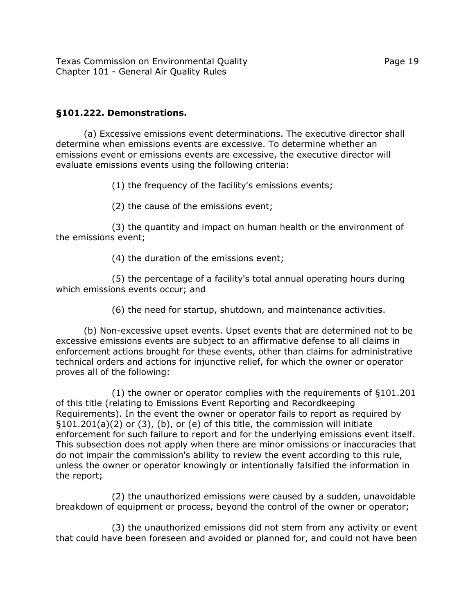## **§101.222. Demonstrations.**

(a) Excessive emissions event determinations. The executive director shall determine when emissions events are excessive. To determine whether an emissions event or emissions events are excessive, the executive director will evaluate emissions events using the following criteria:

(1) the frequency of the facility's emissions events;

(2) the cause of the emissions event;

(3) the quantity and impact on human health or the environment of the emissions event;

(4) the duration of the emissions event;

(5) the percentage of a facility's total annual operating hours during which emissions events occur; and

(6) the need for startup, shutdown, and maintenance activities.

(b) Non-excessive upset events. Upset events that are determined not to be excessive emissions events are subject to an affirmative defense to all claims in enforcement actions brought for these events, other than claims for administrative technical orders and actions for injunctive relief, for which the owner or operator proves all of the following:

(1) the owner or operator complies with the requirements of §101.201 of this title (relating to Emissions Event Reporting and Recordkeeping Requirements). In the event the owner or operator fails to report as required by §101.201(a)(2) or (3), (b), or (e) of this title, the commission will initiate enforcement for such failure to report and for the underlying emissions event itself. This subsection does not apply when there are minor omissions or inaccuracies that do not impair the commission's ability to review the event according to this rule, unless the owner or operator knowingly or intentionally falsified the information in the report;

(2) the unauthorized emissions were caused by a sudden, unavoidable breakdown of equipment or process, beyond the control of the owner or operator;

(3) the unauthorized emissions did not stem from any activity or event that could have been foreseen and avoided or planned for, and could not have been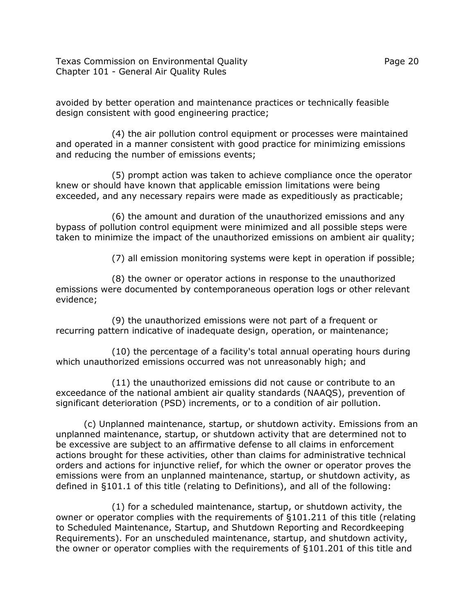Texas Commission on Environmental Quality Page 20 Chapter 101 - General Air Quality Rules

avoided by better operation and maintenance practices or technically feasible design consistent with good engineering practice;

(4) the air pollution control equipment or processes were maintained and operated in a manner consistent with good practice for minimizing emissions and reducing the number of emissions events;

(5) prompt action was taken to achieve compliance once the operator knew or should have known that applicable emission limitations were being exceeded, and any necessary repairs were made as expeditiously as practicable;

(6) the amount and duration of the unauthorized emissions and any bypass of pollution control equipment were minimized and all possible steps were taken to minimize the impact of the unauthorized emissions on ambient air quality;

(7) all emission monitoring systems were kept in operation if possible;

(8) the owner or operator actions in response to the unauthorized emissions were documented by contemporaneous operation logs or other relevant evidence;

(9) the unauthorized emissions were not part of a frequent or recurring pattern indicative of inadequate design, operation, or maintenance;

(10) the percentage of a facility's total annual operating hours during which unauthorized emissions occurred was not unreasonably high; and

(11) the unauthorized emissions did not cause or contribute to an exceedance of the national ambient air quality standards (NAAQS), prevention of significant deterioration (PSD) increments, or to a condition of air pollution.

(c) Unplanned maintenance, startup, or shutdown activity. Emissions from an unplanned maintenance, startup, or shutdown activity that are determined not to be excessive are subject to an affirmative defense to all claims in enforcement actions brought for these activities, other than claims for administrative technical orders and actions for injunctive relief, for which the owner or operator proves the emissions were from an unplanned maintenance, startup, or shutdown activity, as defined in §101.1 of this title (relating to Definitions), and all of the following:

(1) for a scheduled maintenance, startup, or shutdown activity, the owner or operator complies with the requirements of §101.211 of this title (relating to Scheduled Maintenance, Startup, and Shutdown Reporting and Recordkeeping Requirements). For an unscheduled maintenance, startup, and shutdown activity, the owner or operator complies with the requirements of §101.201 of this title and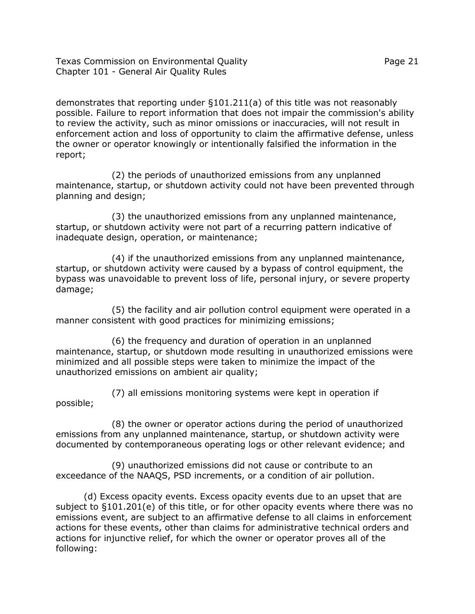Texas Commission on Environmental Quality Page 21 Chapter 101 - General Air Quality Rules

demonstrates that reporting under §101.211(a) of this title was not reasonably possible. Failure to report information that does not impair the commission's ability to review the activity, such as minor omissions or inaccuracies, will not result in enforcement action and loss of opportunity to claim the affirmative defense, unless the owner or operator knowingly or intentionally falsified the information in the report;

(2) the periods of unauthorized emissions from any unplanned maintenance, startup, or shutdown activity could not have been prevented through planning and design;

(3) the unauthorized emissions from any unplanned maintenance, startup, or shutdown activity were not part of a recurring pattern indicative of inadequate design, operation, or maintenance;

(4) if the unauthorized emissions from any unplanned maintenance, startup, or shutdown activity were caused by a bypass of control equipment, the bypass was unavoidable to prevent loss of life, personal injury, or severe property damage;

(5) the facility and air pollution control equipment were operated in a manner consistent with good practices for minimizing emissions;

(6) the frequency and duration of operation in an unplanned maintenance, startup, or shutdown mode resulting in unauthorized emissions were minimized and all possible steps were taken to minimize the impact of the unauthorized emissions on ambient air quality;

(7) all emissions monitoring systems were kept in operation if possible;

(8) the owner or operator actions during the period of unauthorized emissions from any unplanned maintenance, startup, or shutdown activity were documented by contemporaneous operating logs or other relevant evidence; and

(9) unauthorized emissions did not cause or contribute to an exceedance of the NAAQS, PSD increments, or a condition of air pollution.

(d) Excess opacity events. Excess opacity events due to an upset that are subject to §101.201(e) of this title, or for other opacity events where there was no emissions event, are subject to an affirmative defense to all claims in enforcement actions for these events, other than claims for administrative technical orders and actions for injunctive relief, for which the owner or operator proves all of the following: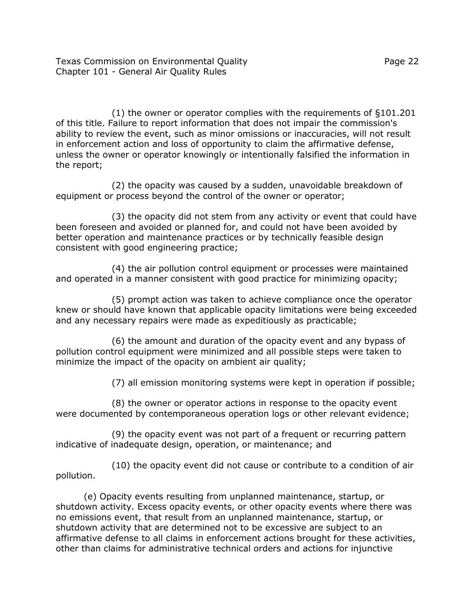(1) the owner or operator complies with the requirements of §101.201 of this title. Failure to report information that does not impair the commission's ability to review the event, such as minor omissions or inaccuracies, will not result in enforcement action and loss of opportunity to claim the affirmative defense, unless the owner or operator knowingly or intentionally falsified the information in the report;

(2) the opacity was caused by a sudden, unavoidable breakdown of equipment or process beyond the control of the owner or operator;

(3) the opacity did not stem from any activity or event that could have been foreseen and avoided or planned for, and could not have been avoided by better operation and maintenance practices or by technically feasible design consistent with good engineering practice;

(4) the air pollution control equipment or processes were maintained and operated in a manner consistent with good practice for minimizing opacity;

(5) prompt action was taken to achieve compliance once the operator knew or should have known that applicable opacity limitations were being exceeded and any necessary repairs were made as expeditiously as practicable;

(6) the amount and duration of the opacity event and any bypass of pollution control equipment were minimized and all possible steps were taken to minimize the impact of the opacity on ambient air quality;

(7) all emission monitoring systems were kept in operation if possible;

(8) the owner or operator actions in response to the opacity event were documented by contemporaneous operation logs or other relevant evidence;

(9) the opacity event was not part of a frequent or recurring pattern indicative of inadequate design, operation, or maintenance; and

(10) the opacity event did not cause or contribute to a condition of air pollution.

(e) Opacity events resulting from unplanned maintenance, startup, or shutdown activity. Excess opacity events, or other opacity events where there was no emissions event, that result from an unplanned maintenance, startup, or shutdown activity that are determined not to be excessive are subject to an affirmative defense to all claims in enforcement actions brought for these activities, other than claims for administrative technical orders and actions for injunctive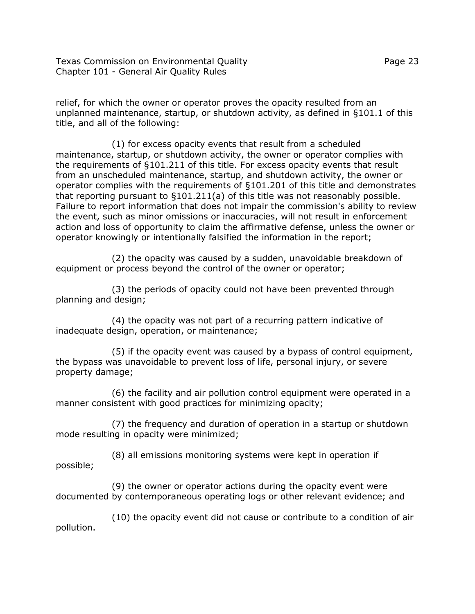Texas Commission on Environmental Quality Page 23 Chapter 101 - General Air Quality Rules

relief, for which the owner or operator proves the opacity resulted from an unplanned maintenance, startup, or shutdown activity, as defined in §101.1 of this title, and all of the following:

(1) for excess opacity events that result from a scheduled maintenance, startup, or shutdown activity, the owner or operator complies with the requirements of §101.211 of this title. For excess opacity events that result from an unscheduled maintenance, startup, and shutdown activity, the owner or operator complies with the requirements of §101.201 of this title and demonstrates that reporting pursuant to §101.211(a) of this title was not reasonably possible. Failure to report information that does not impair the commission's ability to review the event, such as minor omissions or inaccuracies, will not result in enforcement action and loss of opportunity to claim the affirmative defense, unless the owner or operator knowingly or intentionally falsified the information in the report;

(2) the opacity was caused by a sudden, unavoidable breakdown of equipment or process beyond the control of the owner or operator;

(3) the periods of opacity could not have been prevented through planning and design;

(4) the opacity was not part of a recurring pattern indicative of inadequate design, operation, or maintenance;

(5) if the opacity event was caused by a bypass of control equipment, the bypass was unavoidable to prevent loss of life, personal injury, or severe property damage;

(6) the facility and air pollution control equipment were operated in a manner consistent with good practices for minimizing opacity;

(7) the frequency and duration of operation in a startup or shutdown mode resulting in opacity were minimized;

(8) all emissions monitoring systems were kept in operation if possible;

(9) the owner or operator actions during the opacity event were documented by contemporaneous operating logs or other relevant evidence; and

(10) the opacity event did not cause or contribute to a condition of air pollution.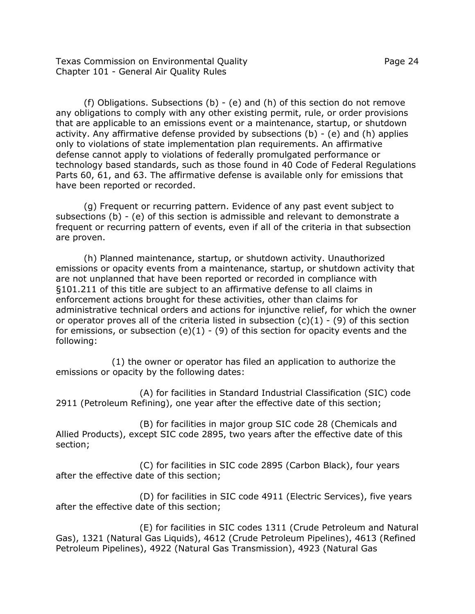Texas Commission on Environmental Quality Page 24 Chapter 101 - General Air Quality Rules

have been reported or recorded.

(f) Obligations. Subsections (b) - (e) and (h) of this section do not remove any obligations to comply with any other existing permit, rule, or order provisions that are applicable to an emissions event or a maintenance, startup, or shutdown activity. Any affirmative defense provided by subsections  $(b)$  -  $(e)$  and  $(h)$  applies only to violations of state implementation plan requirements. An affirmative defense cannot apply to violations of federally promulgated performance or technology based standards, such as those found in 40 Code of Federal Regulations Parts 60, 61, and 63. The affirmative defense is available only for emissions that

(g) Frequent or recurring pattern. Evidence of any past event subject to subsections (b) - (e) of this section is admissible and relevant to demonstrate a frequent or recurring pattern of events, even if all of the criteria in that subsection are proven.

(h) Planned maintenance, startup, or shutdown activity. Unauthorized emissions or opacity events from a maintenance, startup, or shutdown activity that are not unplanned that have been reported or recorded in compliance with §101.211 of this title are subject to an affirmative defense to all claims in enforcement actions brought for these activities, other than claims for administrative technical orders and actions for injunctive relief, for which the owner or operator proves all of the criteria listed in subsection  $(c)(1) - (9)$  of this section for emissions, or subsection (e)(1) - (9) of this section for opacity events and the following:

(1) the owner or operator has filed an application to authorize the emissions or opacity by the following dates:

(A) for facilities in Standard Industrial Classification (SIC) code 2911 (Petroleum Refining), one year after the effective date of this section;

(B) for facilities in major group SIC code 28 (Chemicals and Allied Products), except SIC code 2895, two years after the effective date of this section;

(C) for facilities in SIC code 2895 (Carbon Black), four years after the effective date of this section;

(D) for facilities in SIC code 4911 (Electric Services), five years after the effective date of this section;

(E) for facilities in SIC codes 1311 (Crude Petroleum and Natural Gas), 1321 (Natural Gas Liquids), 4612 (Crude Petroleum Pipelines), 4613 (Refined Petroleum Pipelines), 4922 (Natural Gas Transmission), 4923 (Natural Gas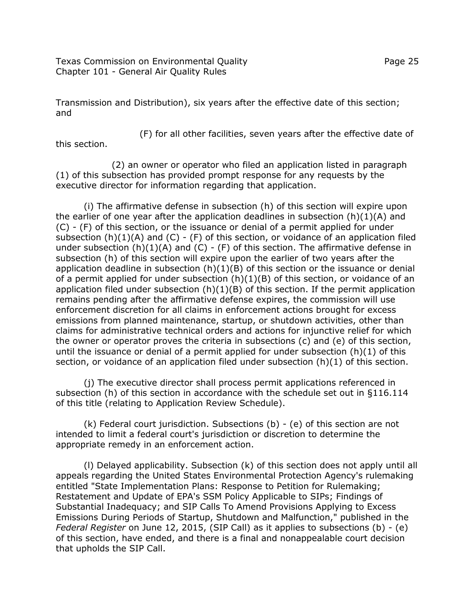Texas Commission on Environmental Quality Page 25 Chapter 101 - General Air Quality Rules

Transmission and Distribution), six years after the effective date of this section; and

(F) for all other facilities, seven years after the effective date of

this section.

(2) an owner or operator who filed an application listed in paragraph (1) of this subsection has provided prompt response for any requests by the executive director for information regarding that application.

(i) The affirmative defense in subsection (h) of this section will expire upon the earlier of one year after the application deadlines in subsection  $(h)(1)(A)$  and (C) - (F) of this section, or the issuance or denial of a permit applied for under subsection  $(h)(1)(A)$  and  $(C)$  -  $(F)$  of this section, or voidance of an application filed under subsection  $(h)(1)(A)$  and  $(C)$  -  $(F)$  of this section. The affirmative defense in subsection (h) of this section will expire upon the earlier of two years after the application deadline in subsection  $(h)(1)(B)$  of this section or the issuance or denial of a permit applied for under subsection  $(h)(1)(B)$  of this section, or voidance of an application filed under subsection  $(h)(1)(B)$  of this section. If the permit application remains pending after the affirmative defense expires, the commission will use enforcement discretion for all claims in enforcement actions brought for excess emissions from planned maintenance, startup, or shutdown activities, other than claims for administrative technical orders and actions for injunctive relief for which the owner or operator proves the criteria in subsections (c) and (e) of this section, until the issuance or denial of a permit applied for under subsection (h)(1) of this section, or voidance of an application filed under subsection  $(h)(1)$  of this section.

(j) The executive director shall process permit applications referenced in subsection (h) of this section in accordance with the schedule set out in §116.114 of this title (relating to Application Review Schedule).

(k) Federal court jurisdiction. Subsections (b) - (e) of this section are not intended to limit a federal court's jurisdiction or discretion to determine the appropriate remedy in an enforcement action.

(l) Delayed applicability. Subsection (k) of this section does not apply until all appeals regarding the United States Environmental Protection Agency's rulemaking entitled "State Implementation Plans: Response to Petition for Rulemaking; Restatement and Update of EPA's SSM Policy Applicable to SIPs; Findings of Substantial Inadequacy; and SIP Calls To Amend Provisions Applying to Excess Emissions During Periods of Startup, Shutdown and Malfunction," published in the *Federal Register* on June 12, 2015, (SIP Call) as it applies to subsections (b) - (e) of this section, have ended, and there is a final and nonappealable court decision that upholds the SIP Call.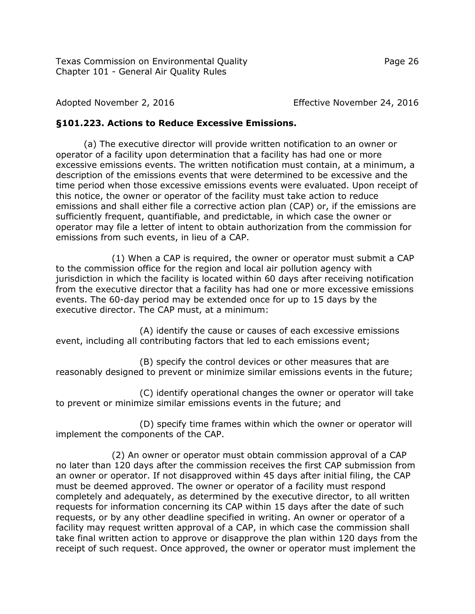Adopted November 2, 2016 Effective November 24, 2016

# **§101.223. Actions to Reduce Excessive Emissions.**

(a) The executive director will provide written notification to an owner or operator of a facility upon determination that a facility has had one or more excessive emissions events. The written notification must contain, at a minimum, a description of the emissions events that were determined to be excessive and the time period when those excessive emissions events were evaluated. Upon receipt of this notice, the owner or operator of the facility must take action to reduce emissions and shall either file a corrective action plan (CAP) or, if the emissions are sufficiently frequent, quantifiable, and predictable, in which case the owner or operator may file a letter of intent to obtain authorization from the commission for emissions from such events, in lieu of a CAP.

(1) When a CAP is required, the owner or operator must submit a CAP to the commission office for the region and local air pollution agency with jurisdiction in which the facility is located within 60 days after receiving notification from the executive director that a facility has had one or more excessive emissions events. The 60-day period may be extended once for up to 15 days by the executive director. The CAP must, at a minimum:

(A) identify the cause or causes of each excessive emissions event, including all contributing factors that led to each emissions event;

(B) specify the control devices or other measures that are reasonably designed to prevent or minimize similar emissions events in the future;

(C) identify operational changes the owner or operator will take to prevent or minimize similar emissions events in the future; and

(D) specify time frames within which the owner or operator will implement the components of the CAP.

(2) An owner or operator must obtain commission approval of a CAP no later than 120 days after the commission receives the first CAP submission from an owner or operator. If not disapproved within 45 days after initial filing, the CAP must be deemed approved. The owner or operator of a facility must respond completely and adequately, as determined by the executive director, to all written requests for information concerning its CAP within 15 days after the date of such requests, or by any other deadline specified in writing. An owner or operator of a facility may request written approval of a CAP, in which case the commission shall take final written action to approve or disapprove the plan within 120 days from the receipt of such request. Once approved, the owner or operator must implement the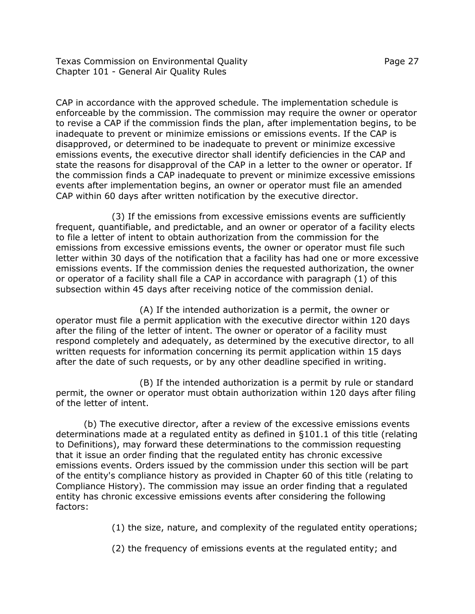Texas Commission on Environmental Quality Page 27 Chapter 101 - General Air Quality Rules

CAP in accordance with the approved schedule. The implementation schedule is enforceable by the commission. The commission may require the owner or operator to revise a CAP if the commission finds the plan, after implementation begins, to be inadequate to prevent or minimize emissions or emissions events. If the CAP is disapproved, or determined to be inadequate to prevent or minimize excessive emissions events, the executive director shall identify deficiencies in the CAP and

state the reasons for disapproval of the CAP in a letter to the owner or operator. If the commission finds a CAP inadequate to prevent or minimize excessive emissions events after implementation begins, an owner or operator must file an amended CAP within 60 days after written notification by the executive director.

(3) If the emissions from excessive emissions events are sufficiently frequent, quantifiable, and predictable, and an owner or operator of a facility elects to file a letter of intent to obtain authorization from the commission for the emissions from excessive emissions events, the owner or operator must file such letter within 30 days of the notification that a facility has had one or more excessive emissions events. If the commission denies the requested authorization, the owner or operator of a facility shall file a CAP in accordance with paragraph (1) of this subsection within 45 days after receiving notice of the commission denial.

(A) If the intended authorization is a permit, the owner or operator must file a permit application with the executive director within 120 days after the filing of the letter of intent. The owner or operator of a facility must respond completely and adequately, as determined by the executive director, to all written requests for information concerning its permit application within 15 days after the date of such requests, or by any other deadline specified in writing.

(B) If the intended authorization is a permit by rule or standard permit, the owner or operator must obtain authorization within 120 days after filing of the letter of intent.

(b) The executive director, after a review of the excessive emissions events determinations made at a regulated entity as defined in §101.1 of this title (relating to Definitions), may forward these determinations to the commission requesting that it issue an order finding that the regulated entity has chronic excessive emissions events. Orders issued by the commission under this section will be part of the entity's compliance history as provided in Chapter 60 of this title (relating to Compliance History). The commission may issue an order finding that a regulated entity has chronic excessive emissions events after considering the following factors:

(1) the size, nature, and complexity of the regulated entity operations;

(2) the frequency of emissions events at the regulated entity; and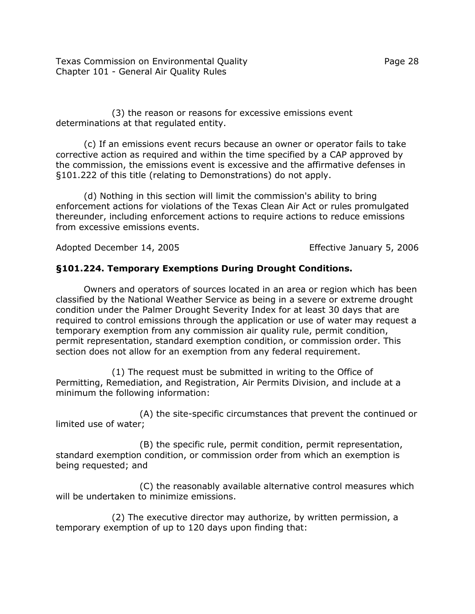Texas Commission on Environmental Quality Page 28 Chapter 101 - General Air Quality Rules

(3) the reason or reasons for excessive emissions event determinations at that regulated entity.

(c) If an emissions event recurs because an owner or operator fails to take corrective action as required and within the time specified by a CAP approved by the commission, the emissions event is excessive and the affirmative defenses in §101.222 of this title (relating to Demonstrations) do not apply.

(d) Nothing in this section will limit the commission's ability to bring enforcement actions for violations of the Texas Clean Air Act or rules promulgated thereunder, including enforcement actions to require actions to reduce emissions from excessive emissions events.

Adopted December 14, 2005 Effective January 5, 2006

## **§101.224. Temporary Exemptions During Drought Conditions.**

Owners and operators of sources located in an area or region which has been classified by the National Weather Service as being in a severe or extreme drought condition under the Palmer Drought Severity Index for at least 30 days that are required to control emissions through the application or use of water may request a temporary exemption from any commission air quality rule, permit condition, permit representation, standard exemption condition, or commission order. This section does not allow for an exemption from any federal requirement.

(1) The request must be submitted in writing to the Office of Permitting, Remediation, and Registration, Air Permits Division, and include at a minimum the following information:

(A) the site-specific circumstances that prevent the continued or limited use of water;

(B) the specific rule, permit condition, permit representation, standard exemption condition, or commission order from which an exemption is being requested; and

(C) the reasonably available alternative control measures which will be undertaken to minimize emissions.

(2) The executive director may authorize, by written permission, a temporary exemption of up to 120 days upon finding that: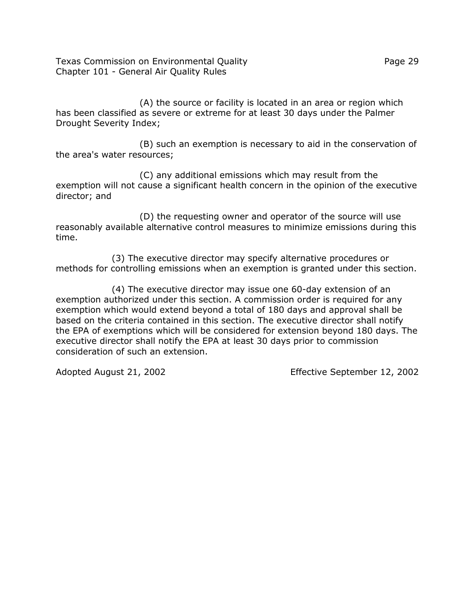Texas Commission on Environmental Quality Page 29 Chapter 101 - General Air Quality Rules

(A) the source or facility is located in an area or region which has been classified as severe or extreme for at least 30 days under the Palmer Drought Severity Index;

(B) such an exemption is necessary to aid in the conservation of the area's water resources;

(C) any additional emissions which may result from the exemption will not cause a significant health concern in the opinion of the executive director; and

(D) the requesting owner and operator of the source will use reasonably available alternative control measures to minimize emissions during this time.

(3) The executive director may specify alternative procedures or methods for controlling emissions when an exemption is granted under this section.

(4) The executive director may issue one 60-day extension of an exemption authorized under this section. A commission order is required for any exemption which would extend beyond a total of 180 days and approval shall be based on the criteria contained in this section. The executive director shall notify the EPA of exemptions which will be considered for extension beyond 180 days. The executive director shall notify the EPA at least 30 days prior to commission consideration of such an extension.

Adopted August 21, 2002 Effective September 12, 2002